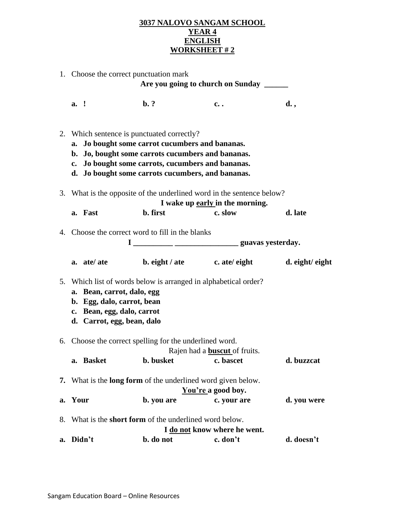## **3037 NALOVO SANGAM SCHOOL YEAR 4 ENGLISH WORKSHEET # 2**

|    | 1. Choose the correct punctuation mark<br>Are you going to church on Sunday ______                                                                                                                                                                           |                                                  |             |             |  |  |
|----|--------------------------------------------------------------------------------------------------------------------------------------------------------------------------------------------------------------------------------------------------------------|--------------------------------------------------|-------------|-------------|--|--|
|    | a. !                                                                                                                                                                                                                                                         | $\mathbf{b}$ . ?                                 | c           | d.,         |  |  |
|    | 2. Which sentence is punctuated correctly?<br>a. Jo bought some carrot cucumbers and bananas.<br>b. Jo, bought some carrots cucumbers and bananas.<br>c. Jo bought some carrots, cucumbers and bananas.<br>d. Jo bought some carrots cucumbers, and bananas. |                                                  |             |             |  |  |
|    | 3. What is the opposite of the underlined word in the sentence below?<br>I wake up early in the morning.                                                                                                                                                     |                                                  |             |             |  |  |
|    | a. Fast                                                                                                                                                                                                                                                      | b. first                                         | c. slow     | d. late     |  |  |
|    |                                                                                                                                                                                                                                                              | 4. Choose the correct word to fill in the blanks |             |             |  |  |
|    | b. eight / ate c. ate/ eight<br>a. ate/ ate<br>d. eight/eight<br>5. Which list of words below is arranged in alphabetical order?<br>a. Bean, carrot, dalo, egg<br>b. Egg, dalo, carrot, bean<br>c. Bean, egg, dalo, carrot<br>d. Carrot, egg, bean, dalo     |                                                  |             |             |  |  |
|    | 6. Choose the correct spelling for the underlined word.<br>Rajen had a <b>buscut</b> of fruits.                                                                                                                                                              |                                                  |             |             |  |  |
|    |                                                                                                                                                                                                                                                              | a. Basket b. busket c. bascet                    |             | d. buzzcat  |  |  |
|    | 7. What is the long form of the underlined word given below.<br>You're a good boy.                                                                                                                                                                           |                                                  |             |             |  |  |
| a. | Your                                                                                                                                                                                                                                                         | b. you are                                       | c. your are | d. you were |  |  |
|    | 8. What is the <b>short form</b> of the underlined word below.<br>I do not know where he went.                                                                                                                                                               |                                                  |             |             |  |  |
| a. | Didn't                                                                                                                                                                                                                                                       | b. do not                                        | c. don't    | d. doesn't  |  |  |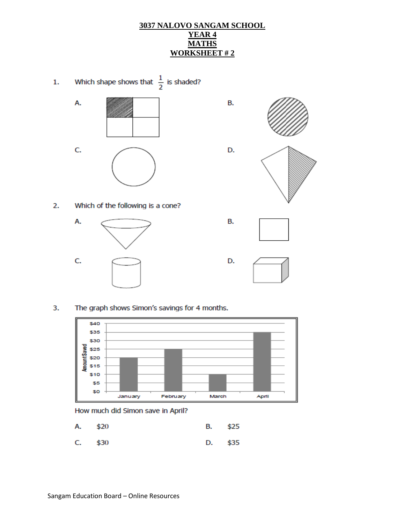#### **3037 NALOVO SANGAM SCHOOL YEAR 4 MATHS WORKSHEET # 2**

В.

D.

Which shape shows that  $\frac{1}{2}$  is shaded?  $1.$ 







 $2.$ Which of the following is a cone?









How much did Simon save in April?

| A. $$20$  | B. \$25 |  |
|-----------|---------|--|
| $C.$ \$30 | D. \$35 |  |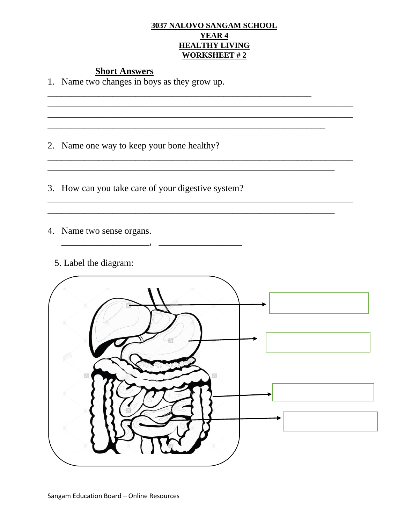# 3037 NALOVO SANGAM SCHOOL **YEAR 4 HEALTHY LIVING WORKSHEET #2**

# **Short Answers**

1. Name two changes in boys as they grow up.

2. Name one way to keep your bone healthy?

- 3. How can you take care of your digestive system?
- 4. Name two sense organs.
	- 5. Label the diagram:

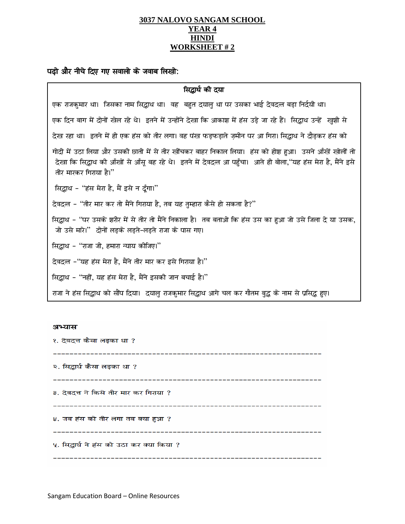#### **3037 NALOVO SANGAM SCHOOL YEAR 4 HINDI WORKSHEET # 2**

# पढ़ो और नीचे दिए गए सवालो के जवाब लिखो:

| सिद्वार्थ की दया                                                                                                                                                                                                                                      |  |  |  |
|-------------------------------------------------------------------------------------------------------------------------------------------------------------------------------------------------------------------------------------------------------|--|--|--|
| एक राजकुमार था।  जिसका नाम सिद्धाथ था।  वह  बहुत दयालु था पर उसका भाई देवदत्त बड़ा निर्दयी था।                                                                                                                                                        |  |  |  |
| एक दिन बाग में दोनों खेल रहे थे। इतने में उन्होंने देखा कि आकाश में हंस उड़े जा रहे हैं। सिद्धाथ उन्हें खुशी से                                                                                                                                       |  |  |  |
| देख रहा था।  इतने में ही एक हंस को तीर लगा। वह पंख फड़फड़ाते ज़मीन पर आ गिरा। सिद्धाथ ने दौड़कर हंस को                                                                                                                                                |  |  |  |
| गोदी में उठा लिया और उसकी छाती में से तीर खींचकर बाहर निकाल लिया।  हंस को होश हुआ।  उसने आँखें खोलीं तो<br>देखा कि सिद्धाथ की आँखों से आँसू बह रहे थे।  इतने में देवदत्त आ पहुँचा।  आते ही बोला,''यह हंस मेरा है, मैंने इसे<br>तीर मारकर गिराया है।'' |  |  |  |
| सिद्वाथ - ''हंस मेरा है, मैं इसे न दूँगा।''                                                                                                                                                                                                           |  |  |  |
| देवदत्त – ''तीर मार कर तो मैंने गिराया है, तब यह तुम्हारा कैसे हो सकता है?''                                                                                                                                                                          |  |  |  |
| सिद्धाथ - 'पर उसके शरीर में से तीर तो मैंने निकाला है। तब बताओ कि हंस उस का हुआ जो उसे जिला दे या उसक,<br>जो उसे मारे।'' दोनों लड़के लड़ते-लड़ते राजा के पास गए।                                                                                      |  |  |  |
| सिद्धाथ - ''राजा जी, हमारा न्याय कीजिए।''                                                                                                                                                                                                             |  |  |  |
| देवदत्त -"यह हंस मेरा है, मैंने तीर मार कर इसे गिराया है।"                                                                                                                                                                                            |  |  |  |
| सिद्धाथ - "नहीं, यह हंस मेरा है, मैंने इसकी जान बचाई है।"                                                                                                                                                                                             |  |  |  |
| राजा ने हंस सिद्धाथ को सौंप दिया।  दयालु राजकुमार सिद्धाथ आगे चल कर गौतम बुद्ध के नाम से प्रसिद्ध हुए।                                                                                                                                                |  |  |  |

#### अभ्यास

| ५. सिद्धार्थ ने हंस को उठा कर क्या किया ? |
|-------------------------------------------|
| 8. जब हंस को तीर लगा तब क्या हुआ ?        |
| ३. देवदत्त ने किसे तीर मार कर गिराया ?    |
| २. सिद्धार्थ कैसा लड़का था ?              |
| १. देवदत्त कैसा लड़का था ?                |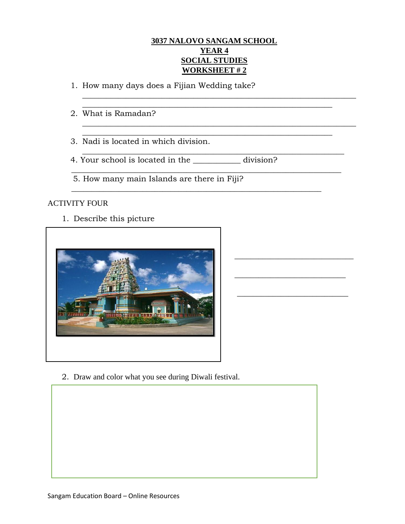# **3037 NALOVO SANGAM SCHOOL YEAR 4 SOCIAL STUDIES WORKSHEET # 2**

\_\_\_\_\_\_\_\_\_\_\_\_\_\_\_\_\_\_\_\_\_\_\_\_\_\_\_\_\_\_\_\_\_\_\_\_\_\_\_\_\_\_\_\_\_\_\_\_\_\_\_\_\_\_\_\_\_\_\_\_\_\_\_\_\_\_\_\_\_

 $\_$  , and the set of the set of the set of the set of the set of the set of the set of the set of the set of the set of the set of the set of the set of the set of the set of the set of the set of the set of the set of th

\_\_\_\_\_\_\_\_\_\_\_\_\_\_\_\_\_\_\_\_\_\_\_\_\_\_\_\_\_\_

 $\overline{\phantom{a}}$  , where  $\overline{\phantom{a}}$  , where  $\overline{\phantom{a}}$  ,  $\overline{\phantom{a}}$  ,  $\overline{\phantom{a}}$  ,  $\overline{\phantom{a}}$  ,  $\overline{\phantom{a}}$  ,  $\overline{\phantom{a}}$  ,  $\overline{\phantom{a}}$  ,  $\overline{\phantom{a}}$  ,  $\overline{\phantom{a}}$  ,  $\overline{\phantom{a}}$  ,  $\overline{\phantom{a}}$  ,  $\overline{\phantom{a}}$  ,  $\overline{\phantom{a}}$  ,

\_\_\_\_\_\_\_\_\_\_\_\_\_\_\_\_\_\_\_\_\_\_\_\_\_\_\_\_

\_\_\_\_\_\_\_\_\_\_\_\_\_\_\_\_\_\_\_\_\_\_\_\_\_\_\_\_\_\_\_\_\_\_\_\_\_\_\_\_\_\_\_\_\_\_\_\_\_\_\_\_\_\_\_\_\_\_\_\_\_\_\_

\_\_\_\_\_\_\_\_\_\_\_\_\_\_\_\_\_\_\_\_\_\_\_\_\_\_\_\_\_\_\_\_\_\_\_\_\_\_\_\_\_\_\_\_\_\_\_\_\_\_\_\_\_\_\_\_\_\_\_\_\_\_\_

 $\_$  , and the set of the set of the set of the set of the set of the set of the set of the set of the set of the set of the set of the set of the set of the set of the set of the set of the set of the set of the set of th

\_\_\_\_\_\_\_\_\_\_\_\_\_\_\_\_\_\_\_\_\_\_\_\_\_\_\_\_\_\_\_\_\_\_\_\_\_\_\_\_\_\_\_\_\_\_\_\_\_\_\_\_\_\_\_\_\_\_\_\_\_\_\_

\_\_\_\_\_\_\_\_\_\_\_\_\_\_\_\_\_\_\_\_\_\_\_\_\_\_\_\_\_\_\_\_\_\_\_\_\_\_\_\_\_\_\_\_\_\_\_\_\_\_\_\_\_\_\_\_\_\_\_\_\_\_\_\_\_\_

- 1. How many days does a Fijian Wedding take?
- 2. What is Ramadan?
- 3. Nadi is located in which division.
- 4. Your school is located in the \_\_\_\_\_\_\_\_\_\_\_\_ division?
- 5. How many main Islands are there in Fiji?

#### ACTIVITY FOUR

1. Describe this picture



2. Draw and color what you see during Diwali festival.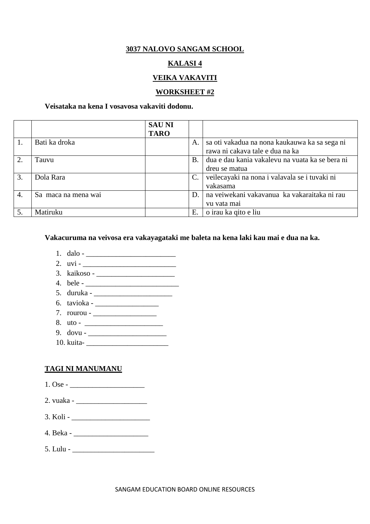## **3037 NALOVO SANGAM SCHOOL**

# **KALASI 4**

## **VEIKA VAKAVITI**

#### **WORKSHEET #2**

#### **Veisataka na kena I vosavosa vakaviti dodonu.**

|    |                     | <b>SAU NI</b> |             |                                                 |
|----|---------------------|---------------|-------------|-------------------------------------------------|
|    |                     | <b>TARO</b>   |             |                                                 |
|    | Bati ka droka       |               | A.          | sa oti vakadua na nona kaukauwa ka sa sega ni   |
|    |                     |               |             | rawa ni cakava tale e dua na ka                 |
| 2. | Tauvu               |               | B.          | dua e dau kania vakalevu na vuata ka se bera ni |
|    |                     |               |             | dreu se matua                                   |
| 3. | Dola Rara           |               | $C_{\cdot}$ | veilecayaki na nona i valavala se i tuvaki ni   |
|    |                     |               |             | vakasama                                        |
| 4. | Sa maca na mena wai |               | D.          | na veiwekani vakavanua ka vakaraitaka ni rau    |
|    |                     |               |             | vu vata mai                                     |
| 5. | Matiruku            |               | Е.          | o irau ka qito e liu                            |

#### **Vakacuruma na veivosa era vakayagataki me baleta na kena laki kau mai e dua na ka.**

- 1. dalo \_\_\_\_\_\_\_\_\_\_\_\_\_\_\_\_\_\_\_\_\_\_\_\_
- 2. uvi \_\_\_\_\_\_\_\_\_\_\_\_\_\_\_\_\_\_\_\_\_\_\_\_\_
- 3. kaikoso \_\_\_\_\_\_\_\_\_\_\_\_\_\_\_\_\_\_\_\_\_
- 4. bele \_\_\_\_\_\_\_\_\_\_\_\_\_\_\_\_\_\_\_\_\_\_\_\_\_
- 5. duruka \_\_\_\_\_\_\_\_\_\_\_\_\_\_\_\_\_\_\_\_\_
- 6. tavioka \_\_\_\_\_\_\_\_\_\_\_\_\_\_\_\_\_
- 7. rourou \_\_\_\_\_\_\_\_\_\_\_\_\_\_\_\_\_
- 8. uto \_\_\_\_\_\_\_\_\_\_\_\_\_\_\_\_\_\_\_\_\_
- 9. dovu \_\_\_\_\_\_\_\_\_\_\_\_\_\_\_\_\_\_\_\_\_
- 10. kuita- \_\_\_\_\_\_\_\_\_\_\_\_\_\_\_\_\_\_\_\_\_\_

# **TAGI NI MANUMANU**

- 1. Ose \_\_\_\_\_\_\_\_\_\_\_\_\_\_\_\_\_\_\_\_
- 2. vuaka \_\_\_\_\_\_\_\_\_\_\_\_\_\_\_\_\_\_\_
- 3. Koli \_\_\_\_\_\_\_\_\_\_\_\_\_\_\_\_\_\_\_\_\_
- 4. Beka \_\_\_\_\_\_\_\_\_\_\_\_\_\_\_\_\_\_\_\_
- 5. Lulu \_\_\_\_\_\_\_\_\_\_\_\_\_\_\_\_\_\_\_\_\_\_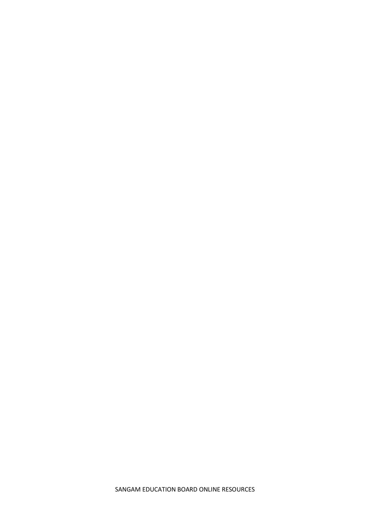SANGAM EDUCATION BOARD ONLINE RESOURCES